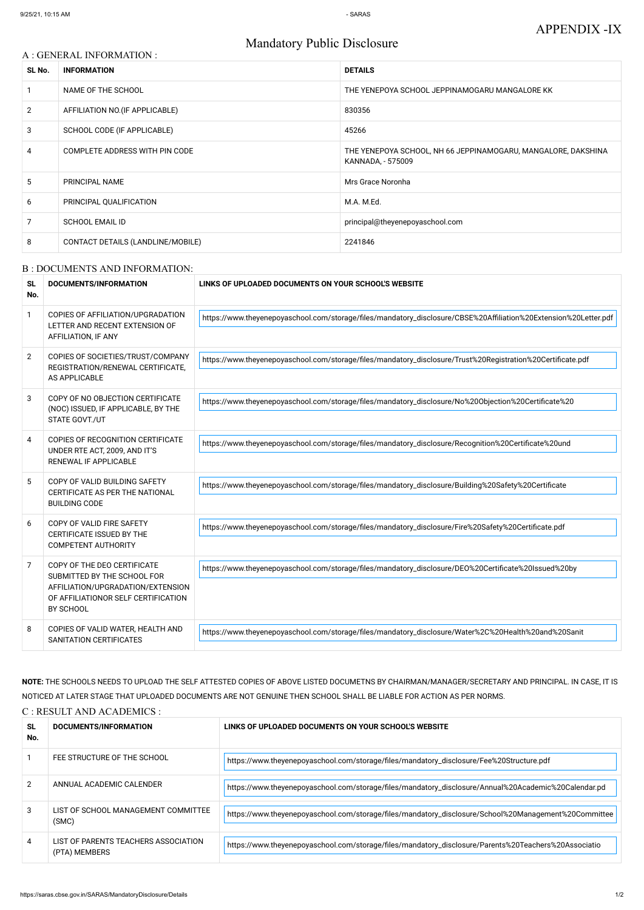# Mandatory Public Disclosure

#### A : GENERAL INFORMATION :

| SL No.         | <b>INFORMATION</b>                | <b>DETAILS</b>                                                                     |
|----------------|-----------------------------------|------------------------------------------------------------------------------------|
|                | NAME OF THE SCHOOL                | THE YENEPOYA SCHOOL JEPPINAMOGARU MANGALORE KK                                     |
| $\overline{2}$ | AFFILIATION NO. (IF APPLICABLE)   | 830356                                                                             |
| 3              | SCHOOL CODE (IF APPLICABLE)       | 45266                                                                              |
| 4              | COMPLETE ADDRESS WITH PIN CODE    | THE YENEPOYA SCHOOL, NH 66 JEPPINAMOGARU, MANGALORE, DAKSHINA<br>KANNADA, - 575009 |
| 5              | PRINCIPAL NAME                    | Mrs Grace Noronha                                                                  |
| 6              | PRINCIPAL QUALIFICATION           | M.A. M.Ed.                                                                         |
|                | <b>SCHOOL EMAIL ID</b>            | principal@theyenepoyaschool.com                                                    |
| 8              | CONTACT DETAILS (LANDLINE/MOBILE) | 2241846                                                                            |

#### B : DOCUMENTS AND INFORMATION:

| <b>SL</b><br>No. | DOCUMENTS/INFORMATION                                                                                                                               | LINKS OF UPLOADED DOCUMENTS ON YOUR SCHOOL'S WEBSITE                                                             |
|------------------|-----------------------------------------------------------------------------------------------------------------------------------------------------|------------------------------------------------------------------------------------------------------------------|
| $\mathbf{1}$     | COPIES OF AFFILIATION/UPGRADATION<br>LETTER AND RECENT EXTENSION OF<br>AFFILIATION, IF ANY                                                          | https://www.theyenepoyaschool.com/storage/files/mandatory_disclosure/CBSE%20Affiliation%20Extension%20Letter.pdf |
| $\overline{2}$   | COPIES OF SOCIETIES/TRUST/COMPANY<br>REGISTRATION/RENEWAL CERTIFICATE,<br>AS APPLICABLE                                                             | https://www.theyenepoyaschool.com/storage/files/mandatory_disclosure/Trust%20Registration%20Certificate.pdf      |
| 3                | COPY OF NO OBJECTION CERTIFICATE<br>(NOC) ISSUED, IF APPLICABLE, BY THE<br>STATE GOVT./UT                                                           | https://www.theyenepoyaschool.com/storage/files/mandatory_disclosure/No%20Objection%20Certificate%20             |
| 4                | COPIES OF RECOGNITION CERTIFICATE<br>UNDER RTE ACT, 2009, AND IT'S<br><b>RENEWAL IF APPLICABLE</b>                                                  | https://www.theyenepoyaschool.com/storage/files/mandatory_disclosure/Recognition%20Certificate%20und             |
| $5\phantom{.0}$  | COPY OF VALID BUILDING SAFETY<br>CERTIFICATE AS PER THE NATIONAL<br><b>BUILDING CODE</b>                                                            | https://www.theyenepoyaschool.com/storage/files/mandatory_disclosure/Building%20Safety%20Certificate             |
| 6                | COPY OF VALID FIRE SAFETY<br><b>CERTIFICATE ISSUED BY THE</b><br><b>COMPETENT AUTHORITY</b>                                                         | https://www.theyenepoyaschool.com/storage/files/mandatory_disclosure/Fire%20Safety%20Certificate.pdf             |
| $\overline{7}$   | COPY OF THE DEO CERTIFICATE<br>SUBMITTED BY THE SCHOOL FOR<br>AFFILIATION/UPGRADATION/EXTENSION<br>OF AFFILIATIONOR SELF CERTIFICATION<br>BY SCHOOL | https://www.theyenepoyaschool.com/storage/files/mandatory_disclosure/DEO%20Certificate%20Issued%20by             |
| 8                | COPIES OF VALID WATER, HEALTH AND<br>SANITATION CERTIFICATES                                                                                        | https://www.theyenepoyaschool.com/storage/files/mandatory_disclosure/Water%2C%20Health%20and%20Sanit             |

#### NOTICED AT LATER STAGE THAT UPLOADED DOCUMENTS ARE NOT GENUINE THEN SCHOOL SHALL BE LIABLE FOR ACTION AS PER NORMS.

## C : RESULT AND ACADEMICS :

| <b>SL</b><br>No. | DOCUMENTS/INFORMATION                                 | LINKS OF UPLOADED DOCUMENTS ON YOUR SCHOOL'S WEBSITE                                                 |
|------------------|-------------------------------------------------------|------------------------------------------------------------------------------------------------------|
|                  | FEE STRUCTURE OF THE SCHOOL                           | https://www.theyenepoyaschool.com/storage/files/mandatory_disclosure/Fee%20Structure.pdf             |
| $\overline{2}$   | ANNUAL ACADEMIC CALENDER                              | https://www.theyenepoyaschool.com/storage/files/mandatory_disclosure/Annual%20Academic%20Calendar.pd |
| 3                | LIST OF SCHOOL MANAGEMENT COMMITTEE<br>(SMC)          | https://www.theyenepoyaschool.com/storage/files/mandatory_disclosure/School%20Management%20Committee |
| 4                | LIST OF PARENTS TEACHERS ASSOCIATION<br>(PTA) MEMBERS | https://www.theyenepoyaschool.com/storage/files/mandatory_disclosure/Parents%20Teachers%20Associatio |